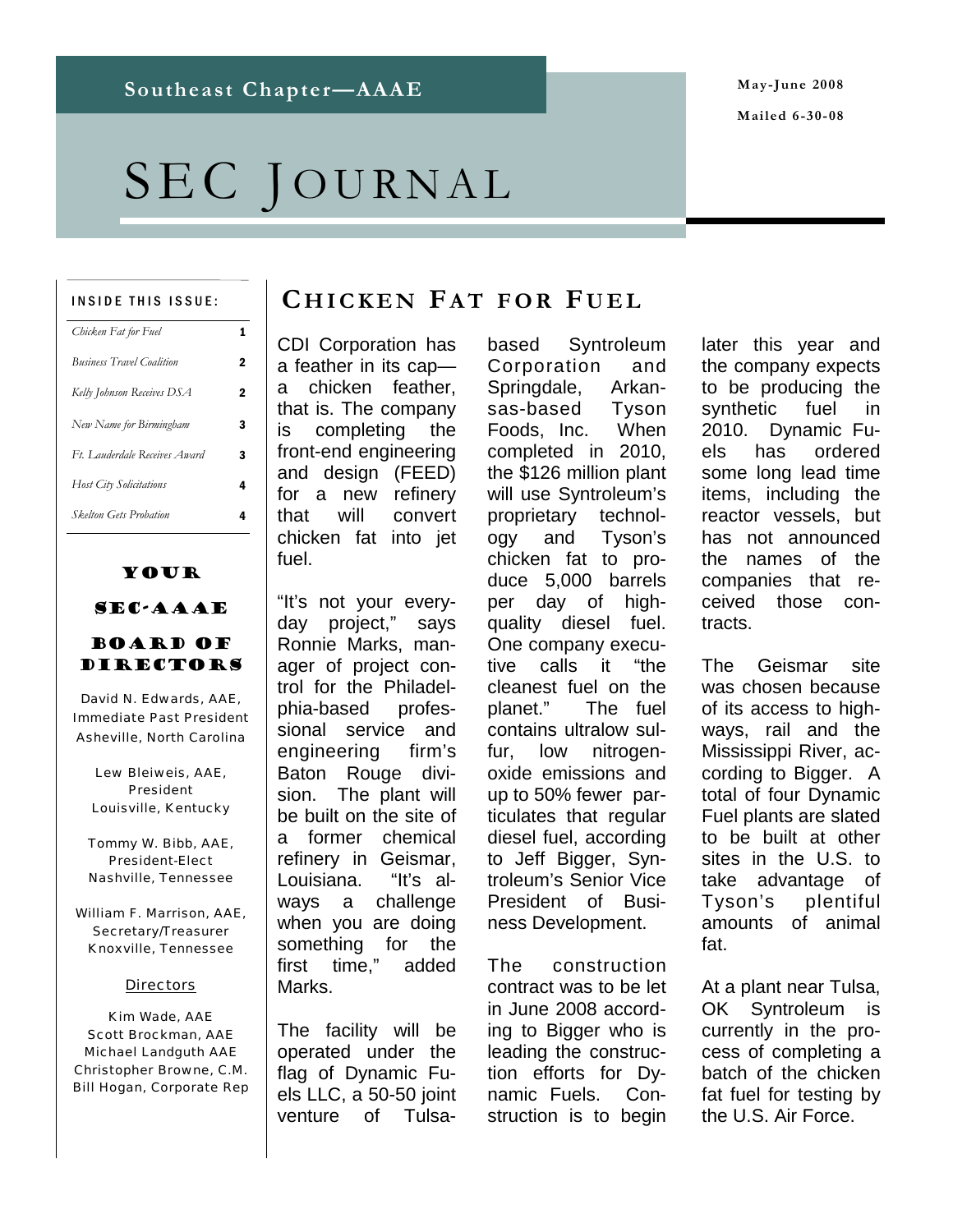**May-June 2008 Mailed 6-30-08** 

# SEC JOURNAL

#### INSIDE THIS ISSUE:

| Chicken Fat for Fuel             | 1 |
|----------------------------------|---|
| <b>Business Travel Coalition</b> | 2 |
| Kelly Johnson Receives DSA       | 2 |
| New Name for Birmingham          | 3 |
| Ft. Lauderdale Receives Award    | 3 |
| Host City Solicitations          | 4 |
| <b>Skelton Gets Probation</b>    | 4 |
|                                  |   |

### Your

### SEC-AAAE

#### Board of DIRECTORS

David N. Edwards, AAE, Immediate Past President Asheville, North Carolina

Lew Bleiweis, AAE, President Louisville, Kentucky

Tommy W. Bibb, AAE, President-Elect Nashville, Tennessee

William F. Marrison, AAE, Secretary/Treasurer Knoxville, Tennessee

#### **Directors**

Kim Wade, AAE Scott Brockman, AAE Michael Landguth AAE Christopher Browne, C.M. Bill Hogan, Corporate Rep

### **C HICKEN FA T FOR F UEL**

CDI Corporation has a feather in its cap a chicken feather, that is. The company is completing the front-end engineering and design (FEED) for a new refinery that will convert chicken fat into jet fuel.

"It's not your everyday project," says Ronnie Marks, manager of project control for the Philadelphia-based professional service and engineering firm's Baton Rouge division. The plant will be built on the site of a former chemical refinery in Geismar, Louisiana. "It's always a challenge when you are doing something for the first time," added Marks.

The facility will be operated under the flag of Dynamic Fuels LLC, a 50-50 joint venture of Tulsabased Syntroleum Corporation and Springdale, Arkansas-based Tyson Foods, Inc. When completed in 2010, the \$126 million plant will use Syntroleum's proprietary technology and Tyson's chicken fat to produce 5,000 barrels per day of highquality diesel fuel. One company executive calls it "the cleanest fuel on the planet." The fuel contains ultralow sulfur, low nitrogenoxide emissions and up to 50% fewer particulates that regular diesel fuel, according to Jeff Bigger, Syntroleum's Senior Vice President of Business Development.

The construction contract was to be let in June 2008 according to Bigger who is leading the construction efforts for Dynamic Fuels. Construction is to begin later this year and the company expects to be producing the synthetic fuel in 2010. Dynamic Fuels has ordered some long lead time items, including the reactor vessels, but has not announced the names of the companies that received those contracts.

The Geismar site was chosen because of its access to highways, rail and the Mississippi River, according to Bigger. A total of four Dynamic Fuel plants are slated to be built at other sites in the U.S. to take advantage of Tyson's plentiful amounts of animal fat.

At a plant near Tulsa, OK Syntroleum is currently in the process of completing a batch of the chicken fat fuel for testing by the U.S. Air Force.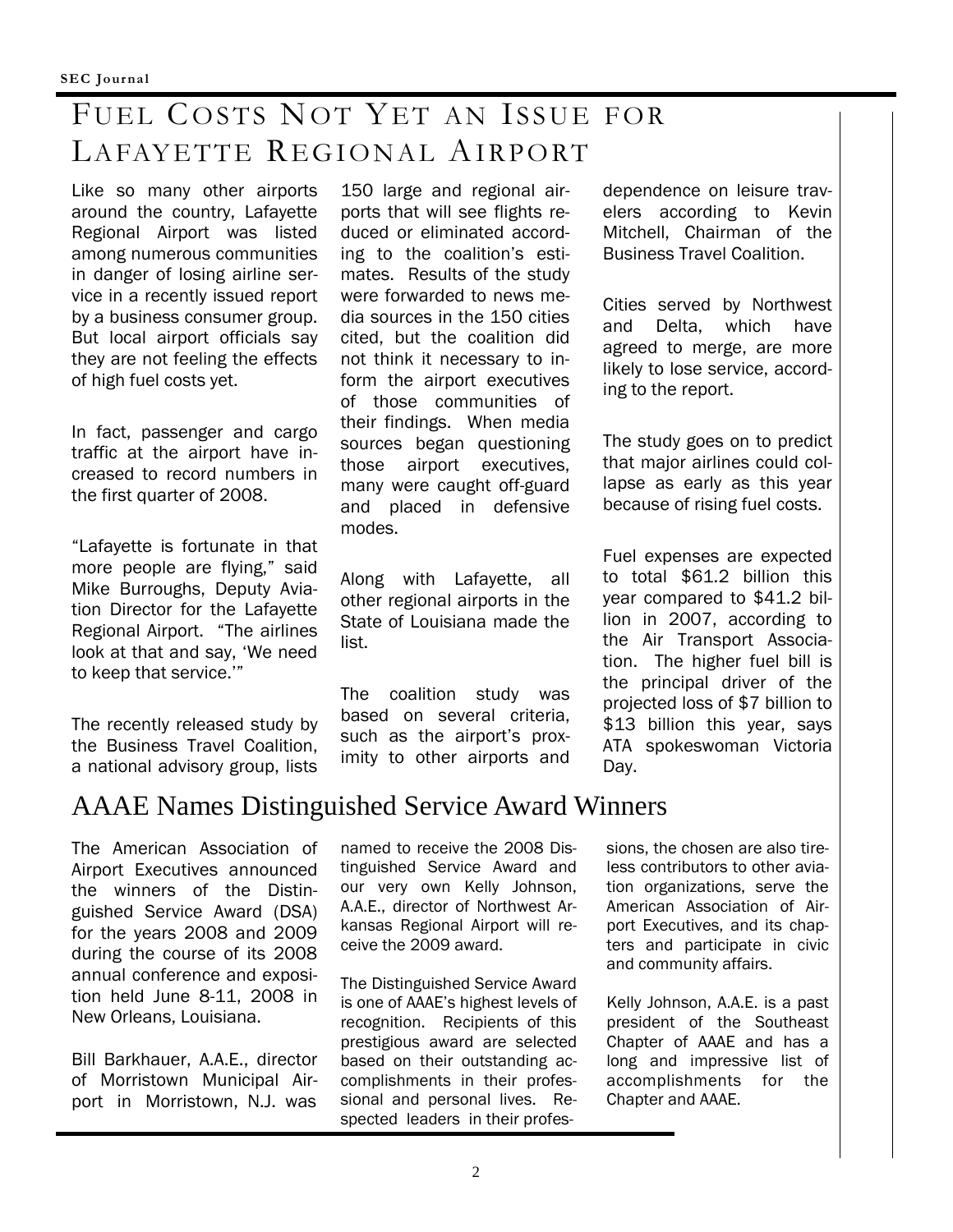# FUEL COSTS NOT YET AN ISSUE FOR LAFAYETTE REGIONAL AIRPORT

Like so many other airports around the country, Lafayette Regional Airport was listed among numerous communities in danger of losing airline service in a recently issued report by a business consumer group. But local airport officials say they are not feeling the effects of high fuel costs yet.

In fact, passenger and cargo traffic at the airport have increased to record numbers in the first quarter of 2008.

"Lafayette is fortunate in that more people are flying," said Mike Burroughs, Deputy Aviation Director for the Lafayette Regional Airport. "The airlines look at that and say, 'We need to keep that service.'"

The recently released study by the Business Travel Coalition, a national advisory group, lists

150 large and regional airports that will see flights reduced or eliminated according to the coalition's estimates. Results of the study were forwarded to news media sources in the 150 cities cited, but the coalition did not think it necessary to inform the airport executives of those communities of their findings. When media sources began questioning those airport executives, many were caught off-guard and placed in defensive modes.

Along with Lafayette, all other regional airports in the State of Louisiana made the list.

The coalition study was based on several criteria, such as the airport's proximity to other airports and dependence on leisure travelers according to Kevin Mitchell, Chairman of the Business Travel Coalition.

Cities served by Northwest and Delta, which have agreed to merge, are more likely to lose service, according to the report.

The study goes on to predict that major airlines could collapse as early as this year because of rising fuel costs.

Fuel expenses are expected to total \$61.2 billion this year compared to \$41.2 billion in 2007, according to the Air Transport Association. The higher fuel bill is the principal driver of the projected loss of \$7 billion to \$13 billion this year, says ATA spokeswoman Victoria Day.

### AAAE Names Distinguished Service Award Winners

The American Association of Airport Executives announced the winners of the Distinguished Service Award (DSA) for the years 2008 and 2009 during the course of its 2008 annual conference and exposition held June 8-11, 2008 in New Orleans, Louisiana.

Bill Barkhauer, A.A.E., director of Morristown Municipal Airport in Morristown, N.J. was

named to receive the 2008 Distinguished Service Award and our very own Kelly Johnson, A.A.E., director of Northwest Arkansas Regional Airport will receive the 2009 award.

The Distinguished Service Award is one of AAAE's highest levels of recognition. Recipients of this prestigious award are selected based on their outstanding accomplishments in their professional and personal lives. Respected leaders in their professions, the chosen are also tireless contributors to other aviation organizations, serve the American Association of Airport Executives, and its chapters and participate in civic and community affairs.

Kelly Johnson, A.A.E. is a past president of the Southeast Chapter of AAAE and has a long and impressive list of accomplishments for the Chapter and AAAE.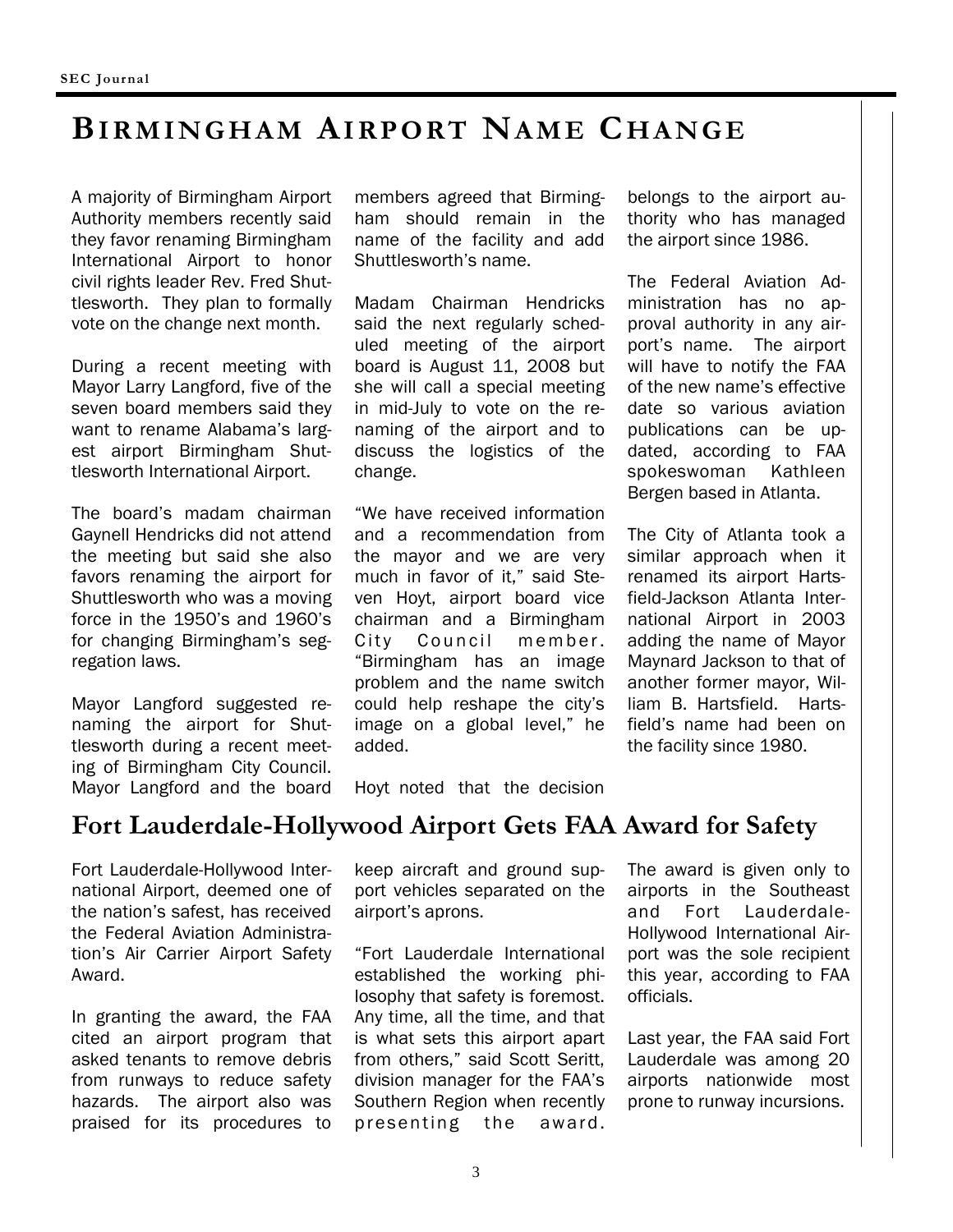# **BIRMINGHAM AIRPORT NAME CHANGE**

A majority of Birmingham Airport Authority members recently said they favor renaming Birmingham International Airport to honor civil rights leader Rev. Fred Shuttlesworth. They plan to formally vote on the change next month.

During a recent meeting with Mayor Larry Langford, five of the seven board members said they want to rename Alabama's largest airport Birmingham Shuttlesworth International Airport.

The board's madam chairman Gaynell Hendricks did not attend the meeting but said she also favors renaming the airport for Shuttlesworth who was a moving force in the 1950's and 1960's for changing Birmingham's segregation laws.

Mayor Langford suggested renaming the airport for Shuttlesworth during a recent meeting of Birmingham City Council. Mayor Langford and the board members agreed that Birmingham should remain in the name of the facility and add Shuttlesworth's name.

Madam Chairman Hendricks said the next regularly scheduled meeting of the airport board is August 11, 2008 but she will call a special meeting in mid-July to vote on the renaming of the airport and to discuss the logistics of the change.

"We have received information and a recommendation from the mayor and we are very much in favor of it," said Steven Hoyt, airport board vice chairman and a Birmingham City Council member. "Birmingham has an image problem and the name switch could help reshape the city's image on a global level," he added.

belongs to the airport authority who has managed the airport since 1986.

The Federal Aviation Administration has no approval authority in any airport's name. The airport will have to notify the FAA of the new name's effective date so various aviation publications can be updated, according to FAA spokeswoman Kathleen Bergen based in Atlanta.

The City of Atlanta took a similar approach when it renamed its airport Hartsfield-Jackson Atlanta International Airport in 2003 adding the name of Mayor Maynard Jackson to that of another former mayor, William B. Hartsfield. Hartsfield's name had been on the facility since 1980.

Hoyt noted that the decision

### **Fort Lauderdale-Hollywood Airport Gets FAA Award for Safety**

Fort Lauderdale-Hollywood International Airport, deemed one of the nation's safest, has received the Federal Aviation Administration's Air Carrier Airport Safety Award.

In granting the award, the FAA cited an airport program that asked tenants to remove debris from runways to reduce safety hazards. The airport also was praised for its procedures to

keep aircraft and ground support vehicles separated on the airport's aprons.

"Fort Lauderdale International established the working philosophy that safety is foremost. Any time, all the time, and that is what sets this airport apart from others," said Scott Seritt, division manager for the FAA's Southern Region when recently presenting the award.

The award is given only to airports in the Southeast and Fort Lauderdale-Hollywood International Airport was the sole recipient this year, according to FAA officials.

Last year, the FAA said Fort Lauderdale was among 20 airports nationwide most prone to runway incursions.